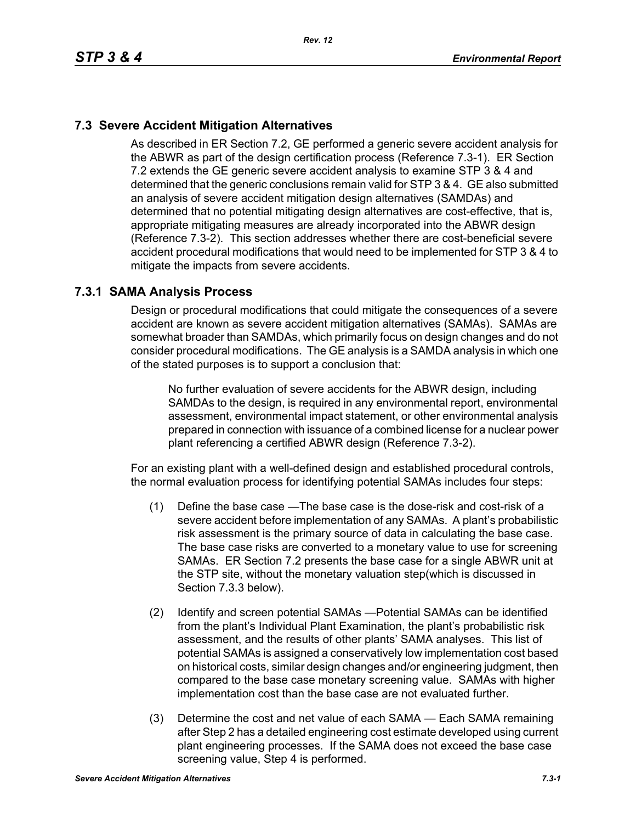# **7.3 Severe Accident Mitigation Alternatives**

As described in ER Section 7.2, GE performed a generic severe accident analysis for the ABWR as part of the design certification process (Reference 7.3-1). ER Section 7.2 extends the GE generic severe accident analysis to examine STP 3 & 4 and determined that the generic conclusions remain valid for STP 3 & 4. GE also submitted an analysis of severe accident mitigation design alternatives (SAMDAs) and determined that no potential mitigating design alternatives are cost-effective, that is, appropriate mitigating measures are already incorporated into the ABWR design (Reference 7.3-2). This section addresses whether there are cost-beneficial severe accident procedural modifications that would need to be implemented for STP 3 & 4 to mitigate the impacts from severe accidents.

## **7.3.1 SAMA Analysis Process**

Design or procedural modifications that could mitigate the consequences of a severe accident are known as severe accident mitigation alternatives (SAMAs). SAMAs are somewhat broader than SAMDAs, which primarily focus on design changes and do not consider procedural modifications. The GE analysis is a SAMDA analysis in which one of the stated purposes is to support a conclusion that:

No further evaluation of severe accidents for the ABWR design, including SAMDAs to the design, is required in any environmental report, environmental assessment, environmental impact statement, or other environmental analysis prepared in connection with issuance of a combined license for a nuclear power plant referencing a certified ABWR design (Reference 7.3-2).

For an existing plant with a well-defined design and established procedural controls, the normal evaluation process for identifying potential SAMAs includes four steps:

- (1) Define the base case —The base case is the dose-risk and cost-risk of a severe accident before implementation of any SAMAs. A plant's probabilistic risk assessment is the primary source of data in calculating the base case. The base case risks are converted to a monetary value to use for screening SAMAs. ER Section 7.2 presents the base case for a single ABWR unit at the STP site, without the monetary valuation step(which is discussed in Section 7.3.3 below).
- (2) Identify and screen potential SAMAs —Potential SAMAs can be identified from the plant's Individual Plant Examination, the plant's probabilistic risk assessment, and the results of other plants' SAMA analyses. This list of potential SAMAs is assigned a conservatively low implementation cost based on historical costs, similar design changes and/or engineering judgment, then compared to the base case monetary screening value. SAMAs with higher implementation cost than the base case are not evaluated further.
- (3) Determine the cost and net value of each SAMA Each SAMA remaining after Step 2 has a detailed engineering cost estimate developed using current plant engineering processes. If the SAMA does not exceed the base case screening value, Step 4 is performed.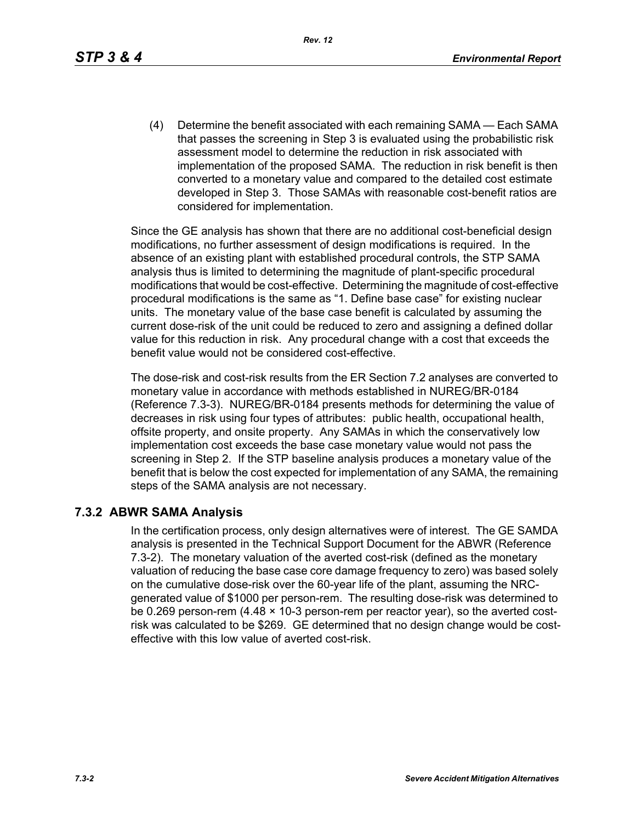(4) Determine the benefit associated with each remaining SAMA — Each SAMA that passes the screening in Step 3 is evaluated using the probabilistic risk assessment model to determine the reduction in risk associated with implementation of the proposed SAMA. The reduction in risk benefit is then converted to a monetary value and compared to the detailed cost estimate developed in Step 3. Those SAMAs with reasonable cost-benefit ratios are considered for implementation.

Since the GE analysis has shown that there are no additional cost-beneficial design modifications, no further assessment of design modifications is required. In the absence of an existing plant with established procedural controls, the STP SAMA analysis thus is limited to determining the magnitude of plant-specific procedural modifications that would be cost-effective. Determining the magnitude of cost-effective procedural modifications is the same as "1. Define base case" for existing nuclear units. The monetary value of the base case benefit is calculated by assuming the current dose-risk of the unit could be reduced to zero and assigning a defined dollar value for this reduction in risk. Any procedural change with a cost that exceeds the benefit value would not be considered cost-effective.

The dose-risk and cost-risk results from the ER Section 7.2 analyses are converted to monetary value in accordance with methods established in NUREG/BR-0184 (Reference 7.3-3). NUREG/BR-0184 presents methods for determining the value of decreases in risk using four types of attributes: public health, occupational health, offsite property, and onsite property. Any SAMAs in which the conservatively low implementation cost exceeds the base case monetary value would not pass the screening in Step 2. If the STP baseline analysis produces a monetary value of the benefit that is below the cost expected for implementation of any SAMA, the remaining steps of the SAMA analysis are not necessary.

#### **7.3.2 ABWR SAMA Analysis**

In the certification process, only design alternatives were of interest. The GE SAMDA analysis is presented in the Technical Support Document for the ABWR (Reference 7.3-2). The monetary valuation of the averted cost-risk (defined as the monetary valuation of reducing the base case core damage frequency to zero) was based solely on the cumulative dose-risk over the 60-year life of the plant, assuming the NRCgenerated value of \$1000 per person-rem. The resulting dose-risk was determined to be 0.269 person-rem (4.48 × 10-3 person-rem per reactor year), so the averted costrisk was calculated to be \$269. GE determined that no design change would be costeffective with this low value of averted cost-risk.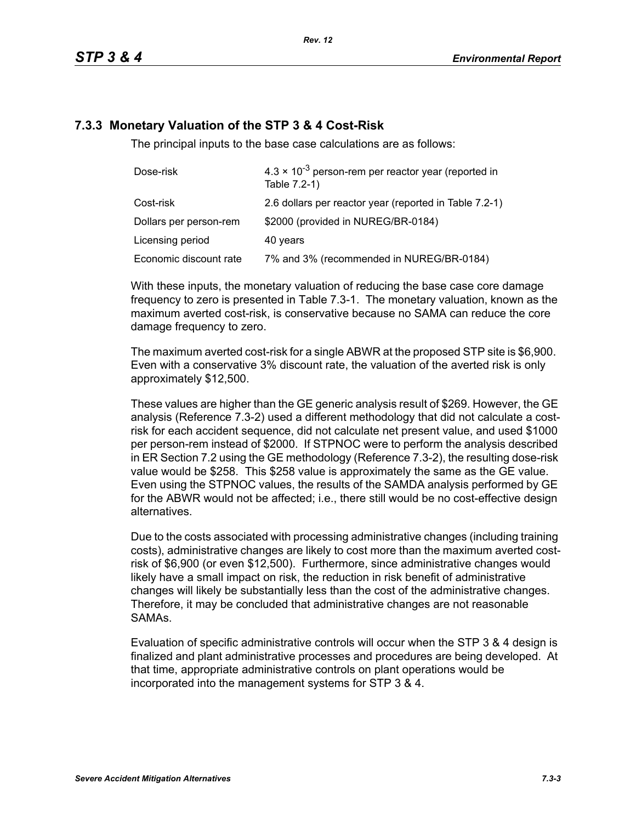# **7.3.3 Monetary Valuation of the STP 3 & 4 Cost-Risk**

The principal inputs to the base case calculations are as follows:

| Dose-risk              | $4.3 \times 10^{-3}$ person-rem per reactor year (reported in<br>Table 7.2-1) |
|------------------------|-------------------------------------------------------------------------------|
| Cost-risk              | 2.6 dollars per reactor year (reported in Table 7.2-1)                        |
| Dollars per person-rem | \$2000 (provided in NUREG/BR-0184)                                            |
| Licensing period       | 40 years                                                                      |
| Economic discount rate | 7% and 3% (recommended in NUREG/BR-0184)                                      |

With these inputs, the monetary valuation of reducing the base case core damage frequency to zero is presented in Table 7.3-1. The monetary valuation, known as the maximum averted cost-risk, is conservative because no SAMA can reduce the core damage frequency to zero.

The maximum averted cost-risk for a single ABWR at the proposed STP site is \$6,900. Even with a conservative 3% discount rate, the valuation of the averted risk is only approximately \$12,500.

These values are higher than the GE generic analysis result of \$269. However, the GE analysis (Reference 7.3-2) used a different methodology that did not calculate a costrisk for each accident sequence, did not calculate net present value, and used \$1000 per person-rem instead of \$2000. If STPNOC were to perform the analysis described in ER Section 7.2 using the GE methodology (Reference 7.3-2), the resulting dose-risk value would be \$258. This \$258 value is approximately the same as the GE value. Even using the STPNOC values, the results of the SAMDA analysis performed by GE for the ABWR would not be affected; i.e., there still would be no cost-effective design alternatives.

Due to the costs associated with processing administrative changes (including training costs), administrative changes are likely to cost more than the maximum averted costrisk of \$6,900 (or even \$12,500). Furthermore, since administrative changes would likely have a small impact on risk, the reduction in risk benefit of administrative changes will likely be substantially less than the cost of the administrative changes. Therefore, it may be concluded that administrative changes are not reasonable SAMAs.

Evaluation of specific administrative controls will occur when the STP 3 & 4 design is finalized and plant administrative processes and procedures are being developed. At that time, appropriate administrative controls on plant operations would be incorporated into the management systems for STP 3 & 4.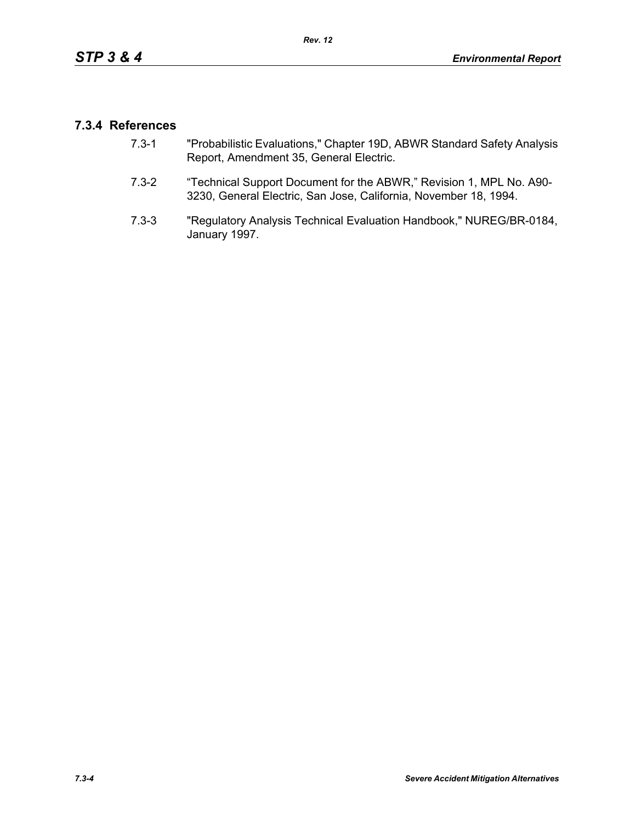# **7.3.4 References**

- 7.3-1 "Probabilistic Evaluations," Chapter 19D, ABWR Standard Safety Analysis Report, Amendment 35, General Electric.
- 7.3-2 "Technical Support Document for the ABWR," Revision 1, MPL No. A90- 3230, General Electric, San Jose, California, November 18, 1994.
- 7.3-3 "Regulatory Analysis Technical Evaluation Handbook," NUREG/BR-0184, January 1997.